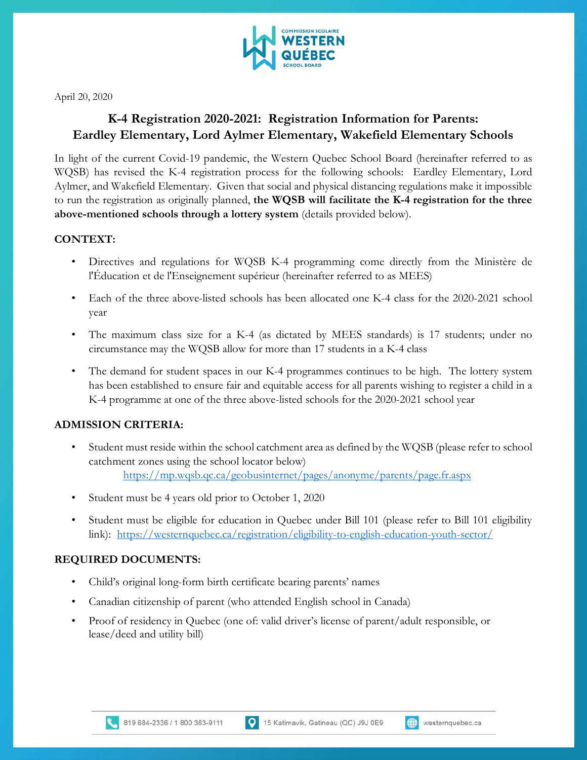

April 20, 2020

# **K-4 Registration 2020-2021: Registration Information for Parents: Eardley Elementary, Lord Aylmer Elementary, Wakefield Elementary Schools**

In light of the current Covid-19 pandemic, the Western Quebec School Board (hereinafter referred to as WQSB) has revised the K-4 registration process for the following schools: Eardley Elementary, Lord Aylmer, and Wakefield Elementary. Given that social and physical distancing regulations make it impossible to run the registration as originally planned, **the WQSB will facilitate the K-4 registration for the three above-mentioned schools through a lottery system** (details provided below).

## **CONTEXT:**

- Directives and regulations for WQSB K-4 programming come directly from the Ministère de l'Éducation et de l'Enseignement supérieur (hereinafter referred to as MEES)
- Each of the three above-listed schools has been allocated one K-4 class for the 2020-2021 school year
- The maximum class size for a K-4 (as dictated by MEES standards) is 17 students; under no circumstance may the WQSB allow for more than 17 students in a K-4 class
- The demand for student spaces in our K-4 programmes continues to be high. The lottery system has been established to ensure fair and equitable access for all parents wishing to register a child in a K-4 programme at one of the three above-listed schools for the 2020-2021 school year

## **ADMISSION CRITERIA:**

- Student must reside within the school catchment area as defined by the WQSB (please refer to school catchment zones using the school locator below) <https://mp.wqsb.qc.ca/geobusinternet/pages/anonyme/parents/page.fr.aspx>
- Student must be 4 years old prior to October 1, 2020
- Student must be eligible for education in Quebec under Bill 101 (please refer to Bill 101 eligibility link): <https://westernquebec.ca/registration/eligibility-to-english-education-youth-sector/>

## **REQUIRED DOCUMENTS:**

- Child's original long-form birth certificate bearing parents' names
- Canadian citizenship of parent (who attended English school in Canada)
- Proof of residency in Quebec (one of: valid driver's license of parent/adult responsible, or lease/deed and utility bill)